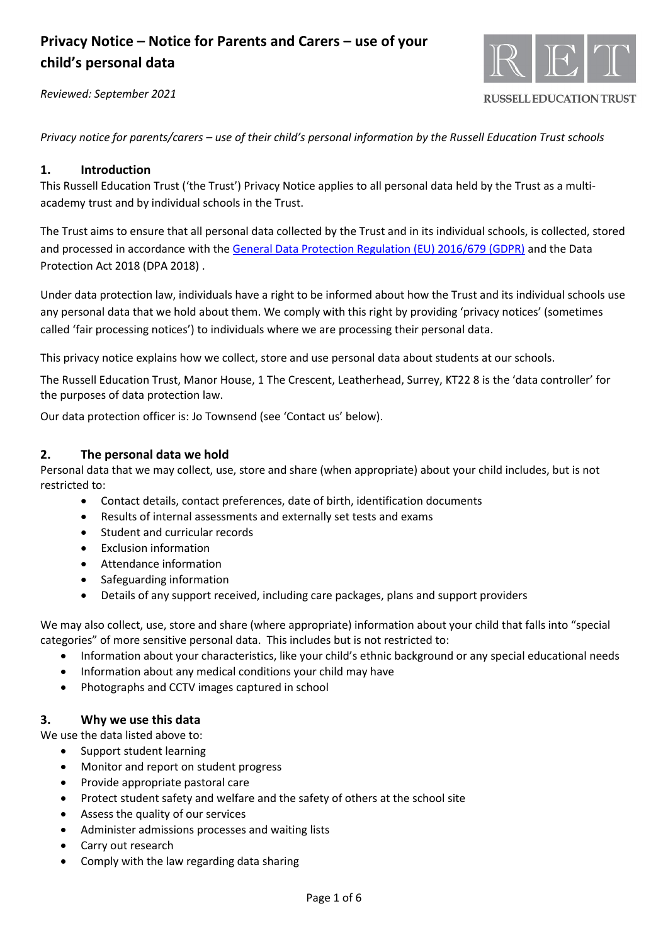



**RUSSELL EDUCATION TRUST** 

*Privacy notice for parents/carers – use of their child's personal information by the Russell Education Trust schools*

### **1. Introduction**

This Russell Education Trust ('the Trust') Privacy Notice applies to all personal data held by the Trust as a multiacademy trust and by individual schools in the Trust.

The Trust aims to ensure that all personal data collected by the Trust and in its individual schools, is collected, stored and processed in accordance with th[e General Data Protection Regulation \(EU\) 2016/679 \(GDPR\)](http://data.consilium.europa.eu/doc/document/ST-5419-2016-INIT/en/pdf) and the Data Protection Act 2018 (DPA 2018) .

Under data protection law, individuals have a right to be informed about how the Trust and its individual schools use any personal data that we hold about them. We comply with this right by providing 'privacy notices' (sometimes called 'fair processing notices') to individuals where we are processing their personal data.

This privacy notice explains how we collect, store and use personal data about students at our schools.

The Russell Education Trust, Manor House, 1 The Crescent, Leatherhead, Surrey, KT22 8 is the 'data controller' for the purposes of data protection law.

Our data protection officer is: Jo Townsend (see 'Contact us' below).

### **2. The personal data we hold**

Personal data that we may collect, use, store and share (when appropriate) about your child includes, but is not restricted to:

- Contact details, contact preferences, date of birth, identification documents
- Results of internal assessments and externally set tests and exams
- Student and curricular records
- Exclusion information
- Attendance information
- Safeguarding information
- Details of any support received, including care packages, plans and support providers

We may also collect, use, store and share (where appropriate) information about your child that falls into "special categories" of more sensitive personal data. This includes but is not restricted to:

- Information about your characteristics, like your child's ethnic background or any special educational needs
- Information about any medical conditions your child may have
- Photographs and CCTV images captured in school

### **3. Why we use this data**

We use the data listed above to:

- Support student learning
- Monitor and report on student progress
- Provide appropriate pastoral care
- Protect student safety and welfare and the safety of others at the school site
- Assess the quality of our services
- Administer admissions processes and waiting lists
- Carry out research
- Comply with the law regarding data sharing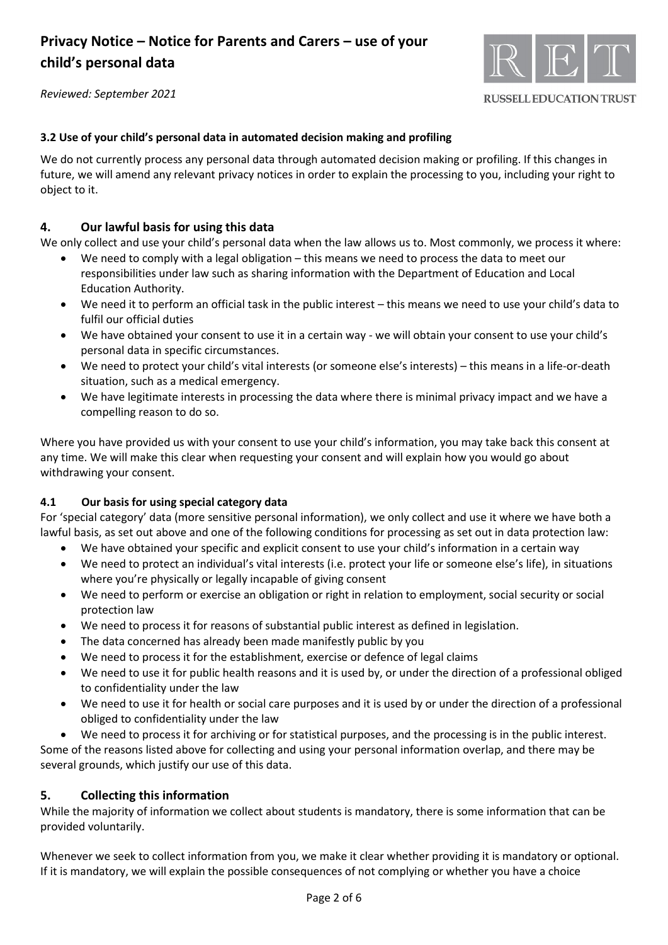

*Reviewed: September 2021*

## **3.2 Use of your child's personal data in automated decision making and profiling**

We do not currently process any personal data through automated decision making or profiling. If this changes in future, we will amend any relevant privacy notices in order to explain the processing to you, including your right to object to it.

## **4. Our lawful basis for using this data**

We only collect and use your child's personal data when the law allows us to. Most commonly, we process it where:

- We need to comply with a legal obligation this means we need to process the data to meet our responsibilities under law such as sharing information with the Department of Education and Local Education Authority.
- We need it to perform an official task in the public interest this means we need to use your child's data to fulfil our official duties
- We have obtained your consent to use it in a certain way we will obtain your consent to use your child's personal data in specific circumstances.
- We need to protect your child's vital interests (or someone else's interests) this means in a life-or-death situation, such as a medical emergency.
- We have legitimate interests in processing the data where there is minimal privacy impact and we have a compelling reason to do so.

Where you have provided us with your consent to use your child's information, you may take back this consent at any time. We will make this clear when requesting your consent and will explain how you would go about withdrawing your consent.

## **4.1 Our basis for using special category data**

For 'special category' data (more sensitive personal information), we only collect and use it where we have both a lawful basis, as set out above and one of the following conditions for processing as set out in data protection law:

- We have obtained your specific and explicit consent to use your child's information in a certain way
- We need to protect an individual's vital interests (i.e. protect your life or someone else's life), in situations where you're physically or legally incapable of giving consent
- We need to perform or exercise an obligation or right in relation to employment, social security or social protection law
- We need to process it for reasons of substantial public interest as defined in legislation.
- The data concerned has already been made manifestly public by you
- We need to process it for the establishment, exercise or defence of legal claims
- We need to use it for public health reasons and it is used by, or under the direction of a professional obliged to confidentiality under the law
- We need to use it for health or social care purposes and it is used by or under the direction of a professional obliged to confidentiality under the law
- We need to process it for archiving or for statistical purposes, and the processing is in the public interest.

Some of the reasons listed above for collecting and using your personal information overlap, and there may be several grounds, which justify our use of this data.

## **5. Collecting this information**

While the majority of information we collect about students is mandatory, there is some information that can be provided voluntarily.

Whenever we seek to collect information from you, we make it clear whether providing it is mandatory or optional. If it is mandatory, we will explain the possible consequences of not complying or whether you have a choice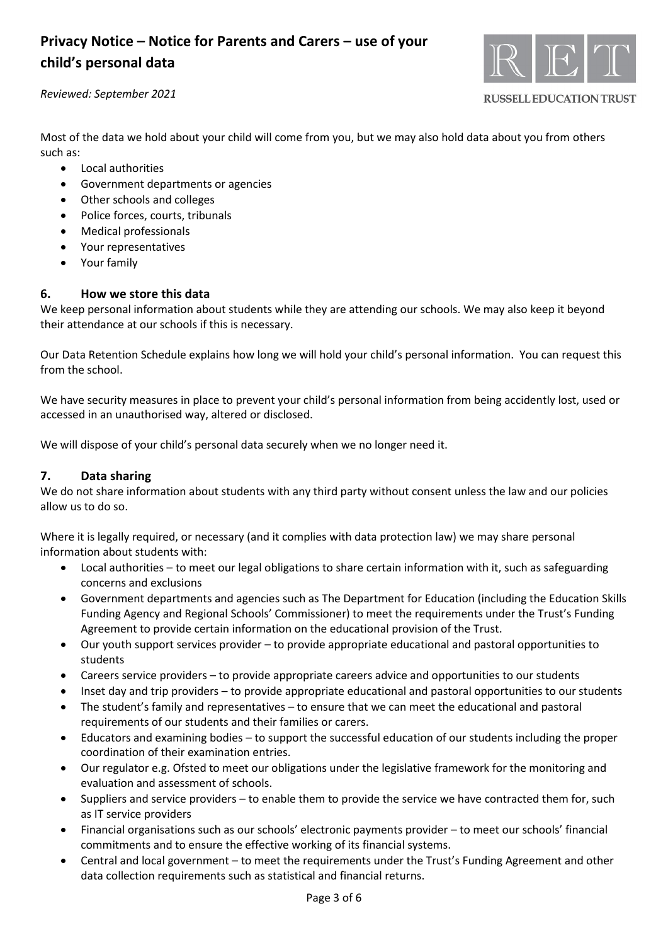

### *Reviewed: September 2021*

**RUSSELL EDUCATION TRUST** 

Most of the data we hold about your child will come from you, but we may also hold data about you from others such as:

- Local authorities
- Government departments or agencies
- Other schools and colleges
- Police forces, courts, tribunals
- Medical professionals
- Your representatives
- Your family

### **6. How we store this data**

We keep personal information about students while they are attending our schools. We may also keep it beyond their attendance at our schools if this is necessary.

Our Data Retention Schedule explains how long we will hold your child's personal information. You can request this from the school.

We have security measures in place to prevent your child's personal information from being accidently lost, used or accessed in an unauthorised way, altered or disclosed.

We will dispose of your child's personal data securely when we no longer need it.

### **7. Data sharing**

We do not share information about students with any third party without consent unless the law and our policies allow us to do so.

Where it is legally required, or necessary (and it complies with data protection law) we may share personal information about students with:

- Local authorities to meet our legal obligations to share certain information with it, such as safeguarding concerns and exclusions
- Government departments and agencies such as The Department for Education (including the Education Skills Funding Agency and Regional Schools' Commissioner) to meet the requirements under the Trust's Funding Agreement to provide certain information on the educational provision of the Trust.
- Our youth support services provider to provide appropriate educational and pastoral opportunities to students
- Careers service providers to provide appropriate careers advice and opportunities to our students
- Inset day and trip providers to provide appropriate educational and pastoral opportunities to our students
- The student's family and representatives to ensure that we can meet the educational and pastoral requirements of our students and their families or carers.
- Educators and examining bodies to support the successful education of our students including the proper coordination of their examination entries.
- Our regulator e.g. Ofsted to meet our obligations under the legislative framework for the monitoring and evaluation and assessment of schools.
- Suppliers and service providers to enable them to provide the service we have contracted them for, such as IT service providers
- Financial organisations such as our schools' electronic payments provider to meet our schools' financial commitments and to ensure the effective working of its financial systems.
- Central and local government to meet the requirements under the Trust's Funding Agreement and other data collection requirements such as statistical and financial returns.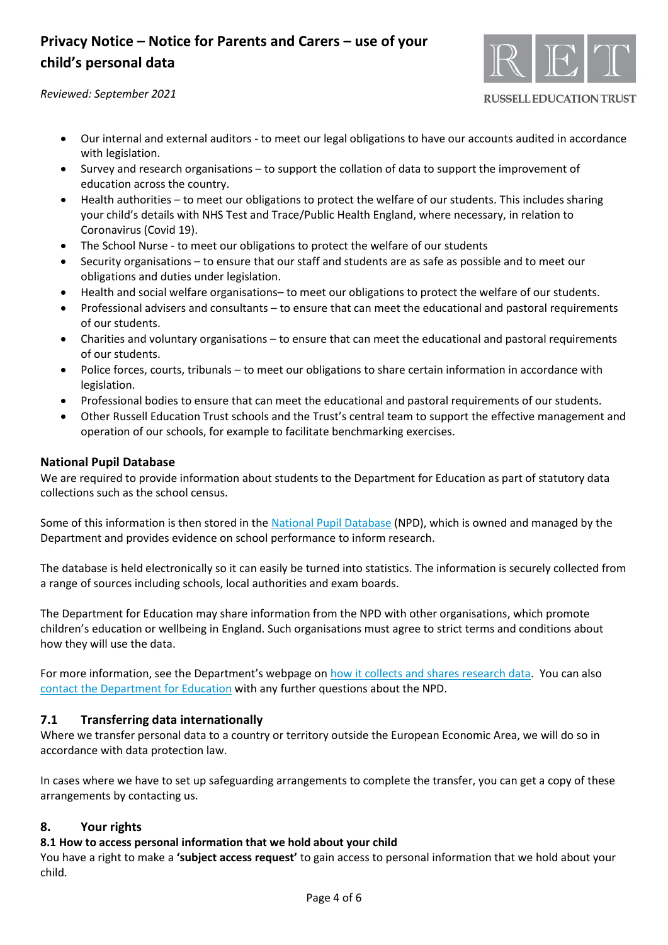

*Reviewed: September 2021*

**RUSSELL EDUCATION TRUST** 

- Our internal and external auditors to meet our legal obligations to have our accounts audited in accordance with legislation.
- Survey and research organisations to support the collation of data to support the improvement of education across the country.
- Health authorities to meet our obligations to protect the welfare of our students. This includes sharing your child's details with NHS Test and Trace/Public Health England, where necessary, in relation to Coronavirus (Covid 19).
- The School Nurse to meet our obligations to protect the welfare of our students
- Security organisations to ensure that our staff and students are as safe as possible and to meet our obligations and duties under legislation.
- Health and social welfare organisations– to meet our obligations to protect the welfare of our students.
- Professional advisers and consultants to ensure that can meet the educational and pastoral requirements of our students.
- Charities and voluntary organisations to ensure that can meet the educational and pastoral requirements of our students.
- Police forces, courts, tribunals to meet our obligations to share certain information in accordance with legislation.
- Professional bodies to ensure that can meet the educational and pastoral requirements of our students.
- Other Russell Education Trust schools and the Trust's central team to support the effective management and operation of our schools, for example to facilitate benchmarking exercises.

## **National Pupil Database**

We are required to provide information about students to the Department for Education as part of statutory data collections such as the school census.

Some of this information is then stored in the [National Pupil](https://www.gov.uk/government/publications/national-pupil-database-user-guide-and-supporting-information) Database (NPD), which is owned and managed by the Department and provides evidence on school performance to inform research.

The database is held electronically so it can easily be turned into statistics. The information is securely collected from a range of sources including schools, local authorities and exam boards.

The Department for Education may share information from the NPD with other organisations, which promote children's education or wellbeing in England. Such organisations must agree to strict terms and conditions about how they will use the data.

For more information, see the Department's webpage on [how it collects and shares research data.](https://www.gov.uk/data-protection-how-we-collect-and-share-research-data) You can also contact the [Department for Education](https://www.gov.uk/contact-dfe) with any further questions about the NPD.

## **7.1 Transferring data internationally**

Where we transfer personal data to a country or territory outside the European Economic Area, we will do so in accordance with data protection law.

In cases where we have to set up safeguarding arrangements to complete the transfer, you can get a copy of these arrangements by contacting us.

## **8. Your rights**

## **8.1 How to access personal information that we hold about your child**

You have a right to make a **'subject access request'** to gain access to personal information that we hold about your child.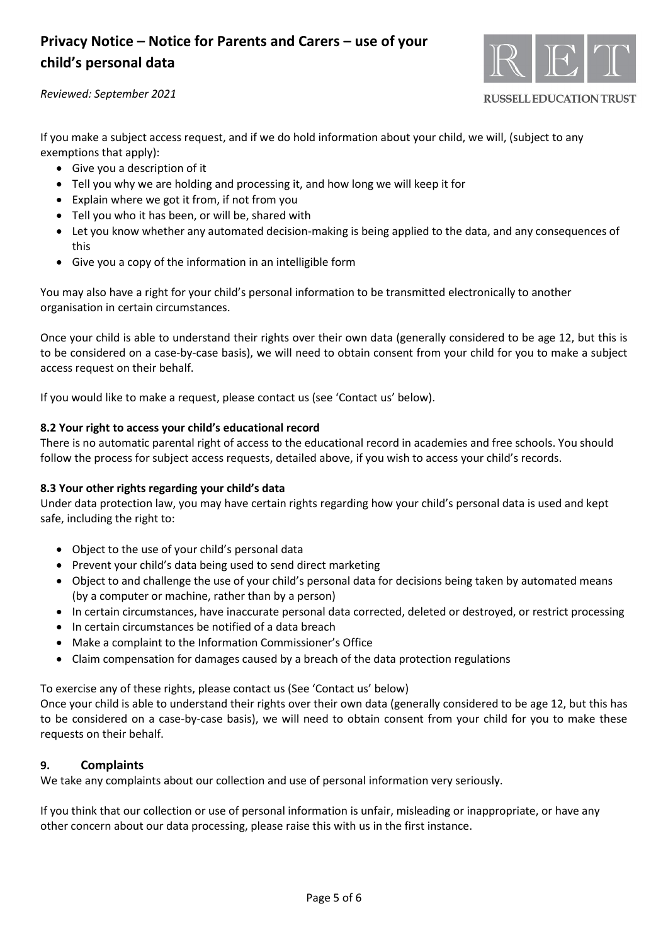

**RUSSELL EDUCATION TRUST** 

#### *Reviewed: September 2021*

If you make a subject access request, and if we do hold information about your child, we will, (subject to any exemptions that apply):

- Give you a description of it
- Tell you why we are holding and processing it, and how long we will keep it for
- Explain where we got it from, if not from you
- Tell you who it has been, or will be, shared with
- Let you know whether any automated decision-making is being applied to the data, and any consequences of this
- Give you a copy of the information in an intelligible form

You may also have a right for your child's personal information to be transmitted electronically to another organisation in certain circumstances.

Once your child is able to understand their rights over their own data (generally considered to be age 12, but this is to be considered on a case-by-case basis), we will need to obtain consent from your child for you to make a subject access request on their behalf.

If you would like to make a request, please contact us (see 'Contact us' below).

### **8.2 Your right to access your child's educational record**

There is no automatic parental right of access to the educational record in academies and free schools. You should follow the process for subject access requests, detailed above, if you wish to access your child's records.

### **8.3 Your other rights regarding your child's data**

Under data protection law, you may have certain rights regarding how your child's personal data is used and kept safe, including the right to:

- Object to the use of your child's personal data
- Prevent your child's data being used to send direct marketing
- Object to and challenge the use of your child's personal data for decisions being taken by automated means (by a computer or machine, rather than by a person)
- In certain circumstances, have inaccurate personal data corrected, deleted or destroyed, or restrict processing
- In certain circumstances be notified of a data breach
- Make a complaint to the Information Commissioner's Office
- Claim compensation for damages caused by a breach of the data protection regulations

To exercise any of these rights, please contact us (See 'Contact us' below)

Once your child is able to understand their rights over their own data (generally considered to be age 12, but this has to be considered on a case-by-case basis), we will need to obtain consent from your child for you to make these requests on their behalf.

### **9. Complaints**

We take any complaints about our collection and use of personal information very seriously.

If you think that our collection or use of personal information is unfair, misleading or inappropriate, or have any other concern about our data processing, please raise this with us in the first instance.